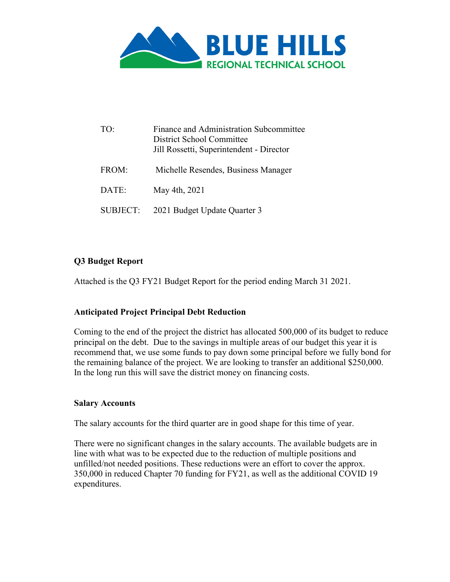

| TO:             | Finance and Administration Subcommittee<br>District School Committee<br>Jill Rossetti, Superintendent - Director |
|-----------------|------------------------------------------------------------------------------------------------------------------|
| FROM:           | Michelle Resendes, Business Manager                                                                              |
| DATE:           | May 4th, 2021                                                                                                    |
| <b>SUBJECT:</b> | 2021 Budget Update Quarter 3                                                                                     |

## **Q3 Budget Report**

Attached is the Q3 FY21 Budget Report for the period ending March 31 2021.

# **Anticipated Project Principal Debt Reduction**

Coming to the end of the project the district has allocated 500,000 of its budget to reduce principal on the debt. Due to the savings in multiple areas of our budget this year it is recommend that, we use some funds to pay down some principal before we fully bond for the remaining balance of the project. We are looking to transfer an additional \$250,000. In the long run this will save the district money on financing costs.

#### **Salary Accounts**

The salary accounts for the third quarter are in good shape for this time of year.

There were no significant changes in the salary accounts. The available budgets are in line with what was to be expected due to the reduction of multiple positions and unfilled/not needed positions. These reductions were an effort to cover the approx. 350,000 in reduced Chapter 70 funding for FY21, as well as the additional COVID 19 expenditures.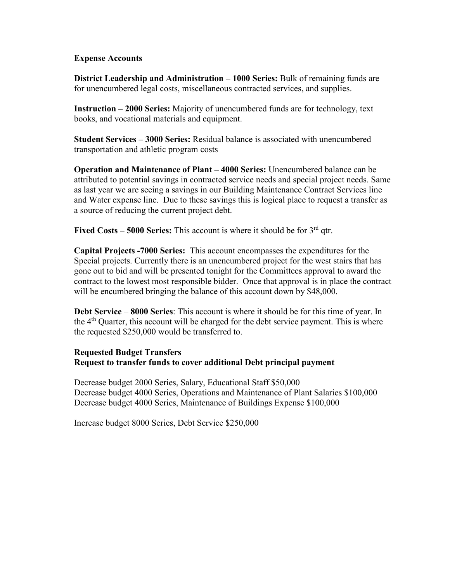#### **Expense Accounts**

**District Leadership and Administration – 1000 Series:** Bulk of remaining funds are for unencumbered legal costs, miscellaneous contracted services, and supplies.

**Instruction – 2000 Series:** Majority of unencumbered funds are for technology, text books, and vocational materials and equipment.

**Student Services – 3000 Series:** Residual balance is associated with unencumbered transportation and athletic program costs

**Operation and Maintenance of Plant – 4000 Series:** Unencumbered balance can be attributed to potential savings in contracted service needs and special project needs. Same as last year we are seeing a savings in our Building Maintenance Contract Services line and Water expense line. Due to these savings this is logical place to request a transfer as a source of reducing the current project debt.

**Fixed Costs – 5000 Series:** This account is where it should be for 3<sup>rd</sup> qtr.

**Capital Projects -7000 Series:** This account encompasses the expenditures for the Special projects. Currently there is an unencumbered project for the west stairs that has gone out to bid and will be presented tonight for the Committees approval to award the contract to the lowest most responsible bidder. Once that approval is in place the contract will be encumbered bringing the balance of this account down by \$48,000.

**Debt Service** – **8000 Series**: This account is where it should be for this time of year. In the 4th Quarter, this account will be charged for the debt service payment. This is where the requested \$250,000 would be transferred to.

## **Requested Budget Transfers** – **Request to transfer funds to cover additional Debt principal payment**

Decrease budget 2000 Series, Salary, Educational Staff \$50,000 Decrease budget 4000 Series, Operations and Maintenance of Plant Salaries \$100,000 Decrease budget 4000 Series, Maintenance of Buildings Expense \$100,000

Increase budget 8000 Series, Debt Service \$250,000